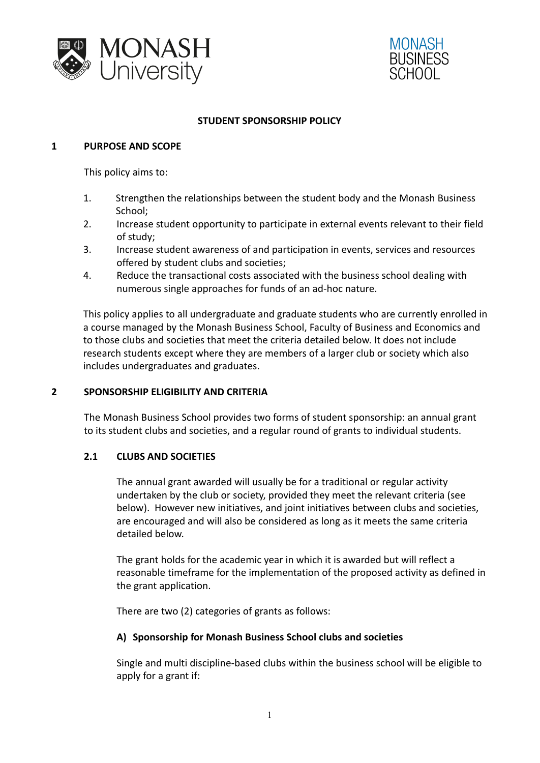



#### **STUDENT SPONSORSHIP POLICY**

#### **1 PURPOSE AND SCOPE**

This policy aims to:

- 1. Strengthen the relationships between the student body and the Monash Business School;
- 2. Increase student opportunity to participate in external events relevant to their field of study;
- 3. Increase student awareness of and participation in events, services and resources offered by student clubs and societies;
- 4. Reduce the transactional costs associated with the business school dealing with numerous single approaches for funds of an ad-hoc nature.

This policy applies to all undergraduate and graduate students who are currently enrolled in a course managed by the Monash Business School, Faculty of Business and Economics and to those clubs and societies that meet the criteria detailed below. It does not include research students except where they are members of a larger club or society which also includes undergraduates and graduates.

#### **2 SPONSORSHIP ELIGIBILITY AND CRITERIA**

The Monash Business School provides two forms of student sponsorship: an annual grant to its student clubs and societies, and a regular round of grants to individual students.

#### **2.1 CLUBS AND SOCIETIES**

The annual grant awarded will usually be for a traditional or regular activity undertaken by the club or society, provided they meet the relevant criteria (see below). However new initiatives, and joint initiatives between clubs and societies, are encouraged and will also be considered as long as it meets the same criteria detailed below.

The grant holds for the academic year in which it is awarded but will reflect a reasonable timeframe for the implementation of the proposed activity as defined in the grant application.

There are two (2) categories of grants as follows:

#### **A) Sponsorship for Monash Business School clubs and societies**

Single and multi discipline-based clubs within the business school will be eligible to apply for a grant if: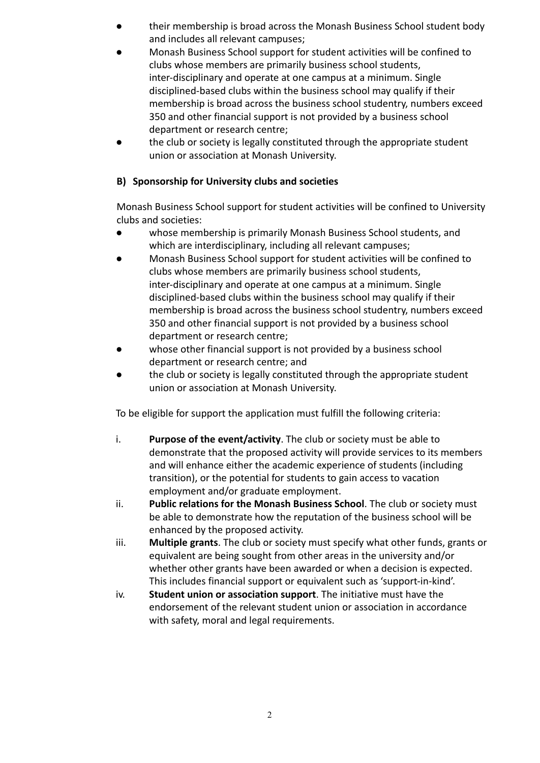- their membership is broad across the Monash Business School student body and includes all relevant campuses;
- Monash Business School support for student activities will be confined to clubs whose members are primarily business school students, inter-disciplinary and operate at one campus at a minimum. Single disciplined-based clubs within the business school may qualify if their membership is broad across the business school studentry, numbers exceed 350 and other financial support is not provided by a business school department or research centre;
- the club or society is legally constituted through the appropriate student union or association at Monash University.

# **B) Sponsorship for University clubs and societies**

Monash Business School support for student activities will be confined to University clubs and societies:

- whose membership is primarily Monash Business School students, and which are interdisciplinary, including all relevant campuses;
- Monash Business School support for student activities will be confined to clubs whose members are primarily business school students, inter-disciplinary and operate at one campus at a minimum. Single disciplined-based clubs within the business school may qualify if their membership is broad across the business school studentry, numbers exceed 350 and other financial support is not provided by a business school department or research centre;
- whose other financial support is not provided by a business school department or research centre; and
- the club or society is legally constituted through the appropriate student union or association at Monash University.

To be eligible for support the application must fulfill the following criteria:

- i. **Purpose of the event/activity**. The club or society must be able to demonstrate that the proposed activity will provide services to its members and will enhance either the academic experience of students (including transition), or the potential for students to gain access to vacation employment and/or graduate employment.
- ii. **Public relations for the Monash Business School**. The club or society must be able to demonstrate how the reputation of the business school will be enhanced by the proposed activity.
- iii. **Multiple grants**. The club or society must specify what other funds, grants or equivalent are being sought from other areas in the university and/or whether other grants have been awarded or when a decision is expected. This includes financial support or equivalent such as 'support-in-kind'.
- iv. **Student union or association support**. The initiative must have the endorsement of the relevant student union or association in accordance with safety, moral and legal requirements.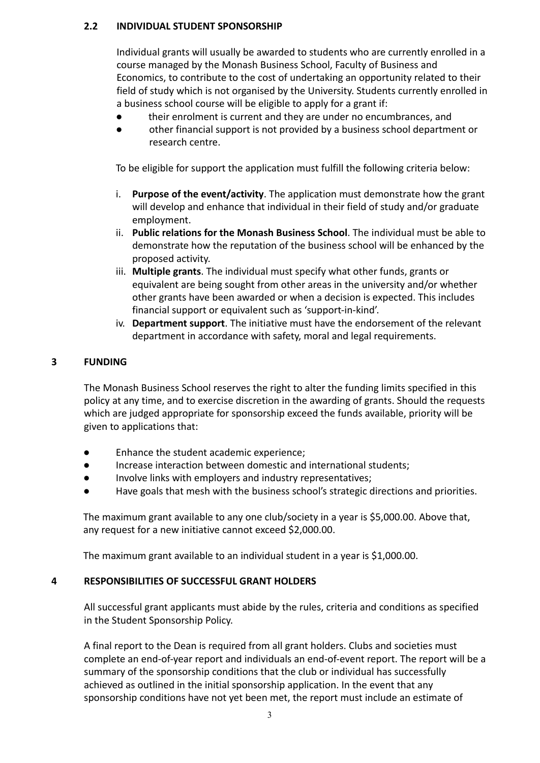### **2.2 INDIVIDUAL STUDENT SPONSORSHIP**

Individual grants will usually be awarded to students who are currently enrolled in a course managed by the Monash Business School, Faculty of Business and Economics, to contribute to the cost of undertaking an opportunity related to their field of study which is not organised by the University. Students currently enrolled in a business school course will be eligible to apply for a grant if:

- their enrolment is current and they are under no encumbrances, and
- other financial support is not provided by a business school department or research centre.

To be eligible for support the application must fulfill the following criteria below:

- i. **Purpose of the event/activity**. The application must demonstrate how the grant will develop and enhance that individual in their field of study and/or graduate employment.
- ii. **Public relations for the Monash Business School**. The individual must be able to demonstrate how the reputation of the business school will be enhanced by the proposed activity.
- iii. **Multiple grants**. The individual must specify what other funds, grants or equivalent are being sought from other areas in the university and/or whether other grants have been awarded or when a decision is expected. This includes financial support or equivalent such as 'support-in-kind'.
- iv. **Department support**. The initiative must have the endorsement of the relevant department in accordance with safety, moral and legal requirements.

## **3 FUNDING**

The Monash Business School reserves the right to alter the funding limits specified in this policy at any time, and to exercise discretion in the awarding of grants. Should the requests which are judged appropriate for sponsorship exceed the funds available, priority will be given to applications that:

- Enhance the student academic experience;
- Increase interaction between domestic and international students;
- Involve links with employers and industry representatives;
- Have goals that mesh with the business school's strategic directions and priorities.

The maximum grant available to any one club/society in a year is \$5,000.00. Above that, any request for a new initiative cannot exceed \$2,000.00.

The maximum grant available to an individual student in a year is \$1,000.00.

#### **4 RESPONSIBILITIES OF SUCCESSFUL GRANT HOLDERS**

All successful grant applicants must abide by the rules, criteria and conditions as specified in the Student Sponsorship Policy.

A final report to the Dean is required from all grant holders. Clubs and societies must complete an end-of-year report and individuals an end-of-event report. The report will be a summary of the sponsorship conditions that the club or individual has successfully achieved as outlined in the initial sponsorship application. In the event that any sponsorship conditions have not yet been met, the report must include an estimate of